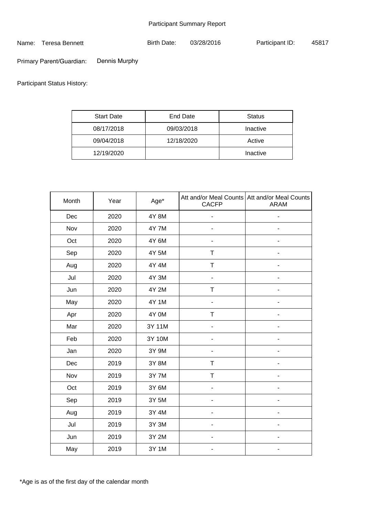Name: Teresa Bennett

Birth Date: 03/28/2016 Participant ID: 45817

Dennis Murphy Primary Parent/Guardian:

Participant Status History:

| <b>Start Date</b> | End Date   | Status   |  |
|-------------------|------------|----------|--|
| 08/17/2018        | 09/03/2018 | Inactive |  |
| 09/04/2018        | 12/18/2020 | Active   |  |
| 12/19/2020        |            | Inactive |  |

| Month | Year | Age*         | <b>CACFP</b>             | Att and/or Meal Counts   Att and/or Meal Counts<br><b>ARAM</b> |
|-------|------|--------------|--------------------------|----------------------------------------------------------------|
| Dec   | 2020 | 4Y 8M        |                          |                                                                |
| Nov   | 2020 | <b>4Y 7M</b> | $\overline{\phantom{a}}$ | -                                                              |
| Oct   | 2020 | 4Y 6M        |                          |                                                                |
| Sep   | 2020 | 4Y 5M        | Τ                        |                                                                |
| Aug   | 2020 | 4Y 4M        | T                        |                                                                |
| Jul   | 2020 | 4Y 3M        | $\overline{\phantom{a}}$ | ٠                                                              |
| Jun   | 2020 | 4Y 2M        | T                        |                                                                |
| May   | 2020 | 4Y 1M        |                          |                                                                |
| Apr   | 2020 | 4Y 0M        | T                        |                                                                |
| Mar   | 2020 | 3Y 11M       |                          |                                                                |
| Feb   | 2020 | 3Y 10M       |                          |                                                                |
| Jan   | 2020 | 3Y 9M        |                          |                                                                |
| Dec   | 2019 | 3Y 8M        | Τ                        | $\qquad \qquad \blacksquare$                                   |
| Nov   | 2019 | 3Y 7M        | $\mathsf T$              |                                                                |
| Oct   | 2019 | 3Y 6M        |                          |                                                                |
| Sep   | 2019 | 3Y 5M        |                          |                                                                |
| Aug   | 2019 | 3Y 4M        | ۰                        | $\overline{\phantom{0}}$                                       |
| Jul   | 2019 | 3Y 3M        |                          |                                                                |
| Jun   | 2019 | 3Y 2M        |                          |                                                                |
| May   | 2019 | 3Y 1M        | -                        | $\overline{\phantom{a}}$                                       |